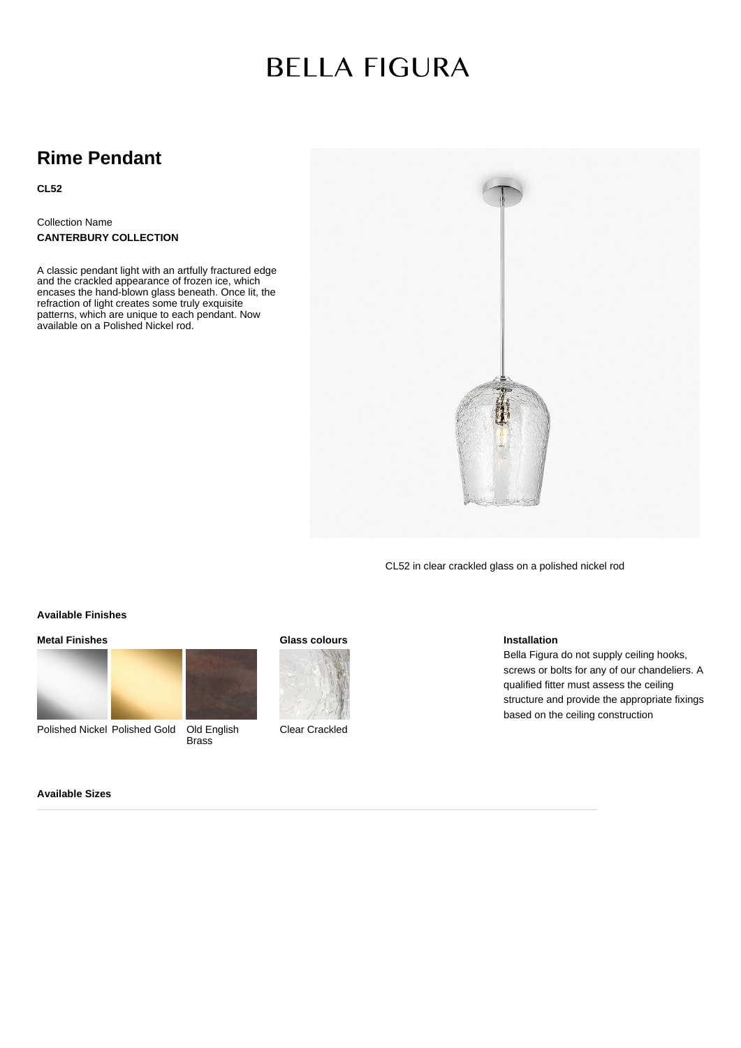# **BELLA FIGURA**

### **Rime Pendant**

**CL52**

Collection Name **CANTERBURY COLLECTION**

A classic pendant light with an artfully fractured edge and the crackled appearance of frozen ice, which encases the hand-blown glass beneath. Once lit, the refraction of light creates some truly exquisite patterns, which are unique to each pendant. Now available on a Polished Nickel rod.



CL52 in clear crackled glass on a polished nickel rod

#### **Available Finishes**

**Metal Finishes**



Polished Nickel Polished Gold Old English **Brass** 



**Glass colours**

Clear Crackled

#### **Installation**

Bella Figura do not supply ceiling hooks, screws or bolts for any of our chandeliers. A qualified fitter must assess the ceiling structure and provide the appropriate fixings based on the ceiling construction

#### **Available Sizes**